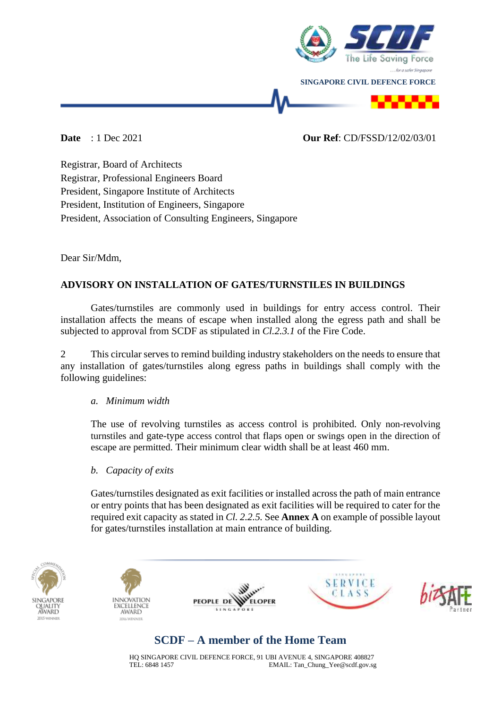

### **Date** : 1 Dec 2021 **Our Ref**: CD/FSSD/12/02/03/01

Registrar, Board of Architects Registrar, Professional Engineers Board President, Singapore Institute of Architects President, Institution of Engineers, Singapore President, Association of Consulting Engineers, Singapore

Dear Sir/Mdm,

## **ADVISORY ON INSTALLATION OF GATES/TURNSTILES IN BUILDINGS**

Gates/turnstiles are commonly used in buildings for entry access control. Their installation affects the means of escape when installed along the egress path and shall be subjected to approval from SCDF as stipulated in *Cl.2.3.1* of the Fire Code.

2 This circular serves to remind building industry stakeholders on the needs to ensure that any installation of gates/turnstiles along egress paths in buildings shall comply with the following guidelines:

### *a. Minimum width*

The use of revolving turnstiles as access control is prohibited. Only non-revolving turnstiles and gate-type access control that flaps open or swings open in the direction of escape are permitted. Their minimum clear width shall be at least 460 mm.

### *b. Capacity of exits*

Gates/turnstiles designated as exit facilities or installed across the path of main entrance or entry points that has been designated as exit facilities will be required to cater for the required exit capacity as stated in *Cl. 2.2.5.* See **Annex A** on example of possible layout for gates/turnstiles installation at main entrance of building.











# **SCDF – A member of the Home Team**

HQ SINGAPORE CIVIL DEFENCE FORCE, 91 UBI AVENUE 4, SINGAPORE 408827 TEL: 6848 1457 EMAIL: Tan\_Chung\_Yee@scdf.gov.sg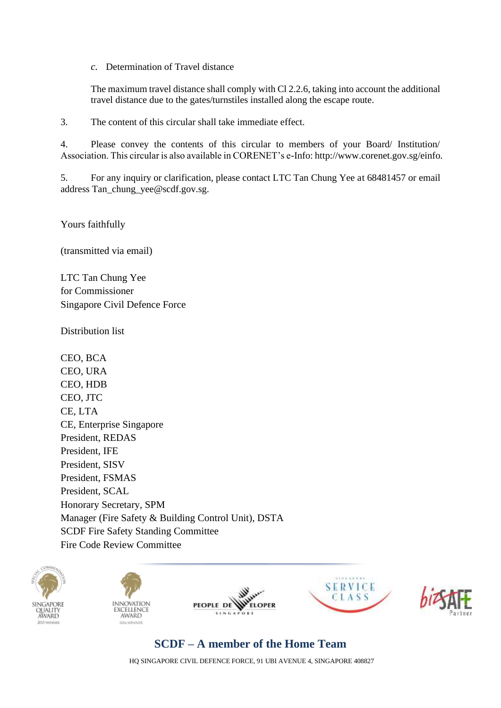*c.* Determination of Travel distance

The maximum travel distance shall comply with Cl 2.2.6, taking into account the additional travel distance due to the gates/turnstiles installed along the escape route.

3. The content of this circular shall take immediate effect.

4. Please convey the contents of this circular to members of your Board/ Institution/ Association. This circular is also available in CORENET's e-Info: http://www.corenet.gov.sg/einfo.

5. For any inquiry or clarification, please contact LTC Tan Chung Yee at 68481457 or email address Tan\_chung\_yee@scdf.gov.sg.

Yours faithfully

(transmitted via email)

LTC Tan Chung Yee for Commissioner Singapore Civil Defence Force

Distribution list

CEO, BCA CEO, URA CEO, HDB CEO, JTC CE, LTA CE, Enterprise Singapore President, REDAS President, IFE President, SISV President, FSMAS President, SCAL Honorary Secretary, SPM Manager (Fire Safety & Building Control Unit), DSTA SCDF Fire Safety Standing Committee Fire Code Review Committee











# **SCDF – A member of the Home Team**

HQ SINGAPORE CIVIL DEFENCE FORCE, 91 UBI AVENUE 4, SINGAPORE 408827